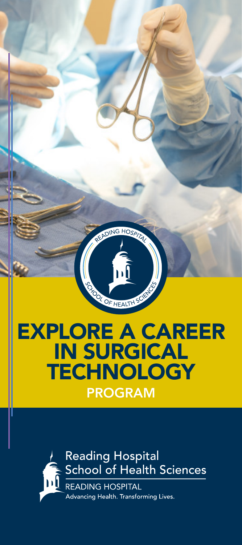

# **Reading Hospital** School of Health Sciences Advancing Health. Transforming Lives.

**PROGRAM**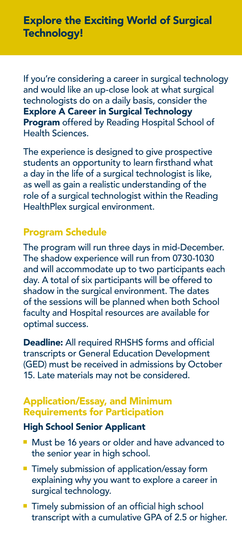If you're considering a career in surgical technology and would like an up-close look at what surgical technologists do on a daily basis, consider the Explore A Career in Surgical Technology Program offered by Reading Hospital School of Health Sciences.

The experience is designed to give prospective students an opportunity to learn firsthand what a day in the life of a surgical technologist is like, as well as gain a realistic understanding of the role of a surgical technologist within the Reading HealthPlex surgical environment.

## Program Schedule

The program will run three days in mid-December. The shadow experience will run from 0730-1030 and will accommodate up to two participants each day. A total of six participants will be offered to shadow in the surgical environment. The dates of the sessions will be planned when both School faculty and Hospital resources are available for optimal success.

Deadline: All required RHSHS forms and official transcripts or General Education Development (GED) must be received in admissions by October 15. Late materials may not be considered.

#### Application/Essay, and Minimum Requirements for Participation

#### High School Senior Applicant

- Must be 16 years or older and have advanced to the senior year in high school.
- Timely submission of application/essay form explaining why you want to explore a career in surgical technology.
- **Timely submission of an official high school** transcript with a cumulative GPA of 2.5 or higher.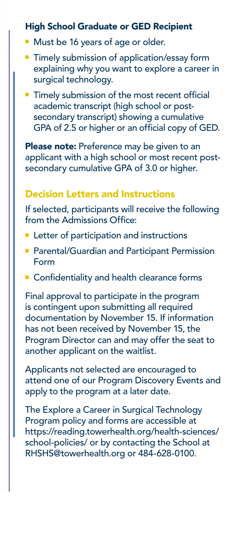## High School Graduate or GED Recipient

- **n** Must be 16 years of age or older.
- $\blacksquare$  Timely submission of application/essay form explaining why you want to explore a career in surgical technology.
- $\blacksquare$  Timely submission of the most recent official academic transcript (high school or postsecondary transcript) showing a cumulative GPA of 2.5 or higher or an official copy of GED.

Please note: Preference may be given to an applicant with a high school or most recent postsecondary cumulative GPA of 3.0 or higher.

## Decision Letters and Instructions

If selected, participants will receive the following from the Admissions Office:

- $\blacksquare$  Letter of participation and instructions
- **Parental/Guardian and Participant Permission** Form
- **Exercise Confidentiality and health clearance forms**

Final approval to participate in the program is contingent upon submitting all required documentation by November 15. If information has not been received by November 15, the Program Director can and may offer the seat to another applicant on the waitlist.

Applicants not selected are encouraged to attend one of our Program Discovery Events and apply to the program at a later date.

The Explore a Career in Surgical Technology Program policy and forms are accessible at [https://reading.towerhealth.org/health-sciences/](https://reading.towerhealth.org/health-sciences/school-policies/) [school-policies/](https://reading.towerhealth.org/health-sciences/school-policies/) or by contacting the School at [RHSHS@towerhealth.org](http://RHSHS@towerhealth.org) or 484-628-0100.